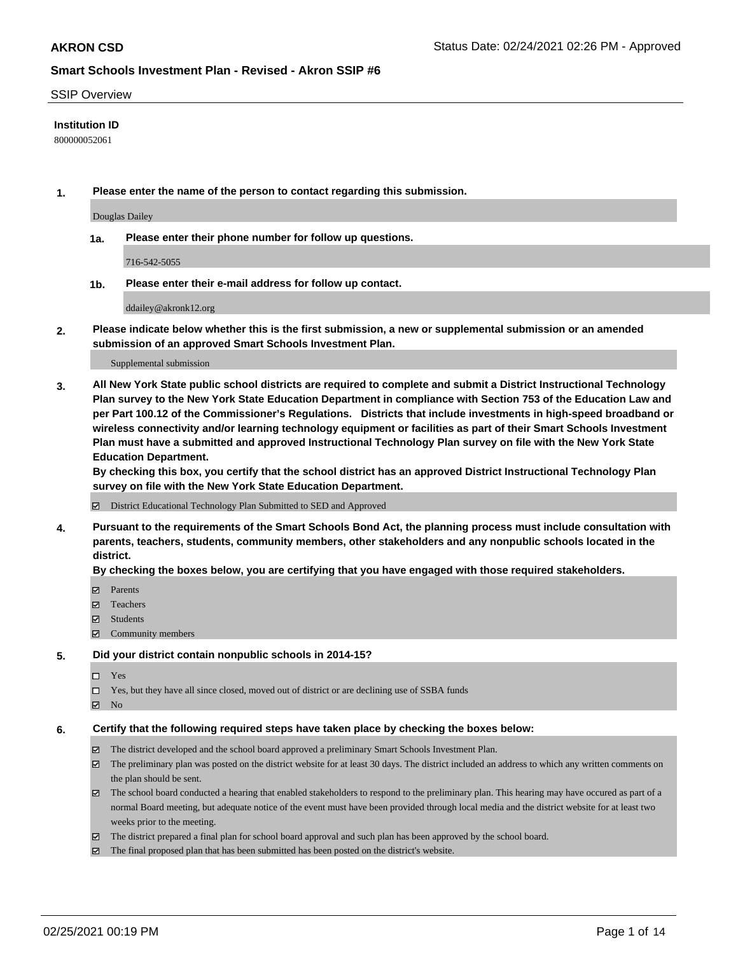### SSIP Overview

## **Institution ID**

800000052061

**1. Please enter the name of the person to contact regarding this submission.**

Douglas Dailey

**1a. Please enter their phone number for follow up questions.**

716-542-5055

**1b. Please enter their e-mail address for follow up contact.**

ddailey@akronk12.org

**2. Please indicate below whether this is the first submission, a new or supplemental submission or an amended submission of an approved Smart Schools Investment Plan.**

#### Supplemental submission

**3. All New York State public school districts are required to complete and submit a District Instructional Technology Plan survey to the New York State Education Department in compliance with Section 753 of the Education Law and per Part 100.12 of the Commissioner's Regulations. Districts that include investments in high-speed broadband or wireless connectivity and/or learning technology equipment or facilities as part of their Smart Schools Investment Plan must have a submitted and approved Instructional Technology Plan survey on file with the New York State Education Department.** 

**By checking this box, you certify that the school district has an approved District Instructional Technology Plan survey on file with the New York State Education Department.**

District Educational Technology Plan Submitted to SED and Approved

**4. Pursuant to the requirements of the Smart Schools Bond Act, the planning process must include consultation with parents, teachers, students, community members, other stakeholders and any nonpublic schools located in the district.** 

### **By checking the boxes below, you are certifying that you have engaged with those required stakeholders.**

- **Ø** Parents
- Teachers
- Students
- $\Xi$  Community members

#### **5. Did your district contain nonpublic schools in 2014-15?**

- Yes
- □ Yes, but they have all since closed, moved out of district or are declining use of SSBA funds
- **Ø** No

### **6. Certify that the following required steps have taken place by checking the boxes below:**

- The district developed and the school board approved a preliminary Smart Schools Investment Plan.
- The preliminary plan was posted on the district website for at least 30 days. The district included an address to which any written comments on the plan should be sent.
- The school board conducted a hearing that enabled stakeholders to respond to the preliminary plan. This hearing may have occured as part of a normal Board meeting, but adequate notice of the event must have been provided through local media and the district website for at least two weeks prior to the meeting.
- The district prepared a final plan for school board approval and such plan has been approved by the school board.
- $\boxtimes$  The final proposed plan that has been submitted has been posted on the district's website.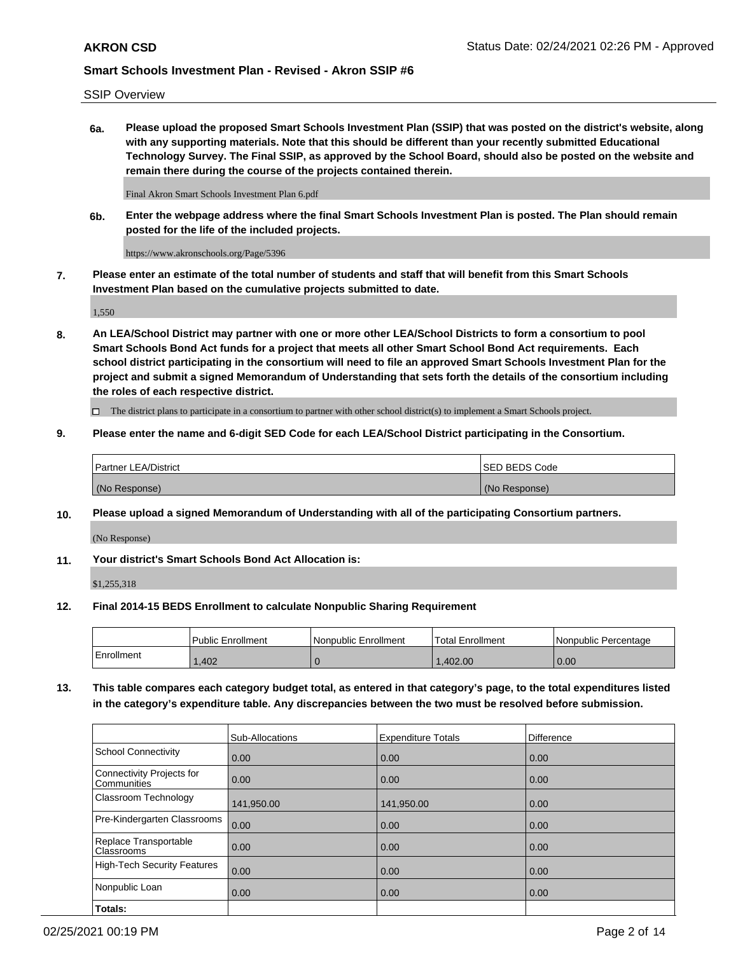SSIP Overview

**6a. Please upload the proposed Smart Schools Investment Plan (SSIP) that was posted on the district's website, along with any supporting materials. Note that this should be different than your recently submitted Educational Technology Survey. The Final SSIP, as approved by the School Board, should also be posted on the website and remain there during the course of the projects contained therein.**

Final Akron Smart Schools Investment Plan 6.pdf

**6b. Enter the webpage address where the final Smart Schools Investment Plan is posted. The Plan should remain posted for the life of the included projects.**

https://www.akronschools.org/Page/5396

**7. Please enter an estimate of the total number of students and staff that will benefit from this Smart Schools Investment Plan based on the cumulative projects submitted to date.**

1,550

**8. An LEA/School District may partner with one or more other LEA/School Districts to form a consortium to pool Smart Schools Bond Act funds for a project that meets all other Smart School Bond Act requirements. Each school district participating in the consortium will need to file an approved Smart Schools Investment Plan for the project and submit a signed Memorandum of Understanding that sets forth the details of the consortium including the roles of each respective district.**

 $\Box$  The district plans to participate in a consortium to partner with other school district(s) to implement a Smart Schools project.

## **9. Please enter the name and 6-digit SED Code for each LEA/School District participating in the Consortium.**

| Partner LEA/District | <b>ISED BEDS Code</b> |
|----------------------|-----------------------|
| (No Response)        | (No Response)         |

## **10. Please upload a signed Memorandum of Understanding with all of the participating Consortium partners.**

(No Response)

**11. Your district's Smart Schools Bond Act Allocation is:**

\$1,255,318

## **12. Final 2014-15 BEDS Enrollment to calculate Nonpublic Sharing Requirement**

|            | Public Enrollment | Nonpublic Enrollment | Total Enrollment | I Nonpublic Percentage |
|------------|-------------------|----------------------|------------------|------------------------|
| Enrollment | .402              |                      | .402.00          | 0.00                   |

**13. This table compares each category budget total, as entered in that category's page, to the total expenditures listed in the category's expenditure table. Any discrepancies between the two must be resolved before submission.**

|                                          | Sub-Allocations | <b>Expenditure Totals</b> | <b>Difference</b> |
|------------------------------------------|-----------------|---------------------------|-------------------|
| <b>School Connectivity</b>               | 0.00            | 0.00                      | 0.00              |
| Connectivity Projects for<br>Communities | 0.00            | 0.00                      | 0.00              |
| Classroom Technology                     | 141,950.00      | 141,950.00                | 0.00              |
| Pre-Kindergarten Classrooms              | 0.00            | 0.00                      | 0.00              |
| Replace Transportable<br>Classrooms      | 0.00            | 0.00                      | 0.00              |
| High-Tech Security Features              | 0.00            | 0.00                      | 0.00              |
| Nonpublic Loan                           | 0.00            | 0.00                      | 0.00              |
| Totals:                                  |                 |                           |                   |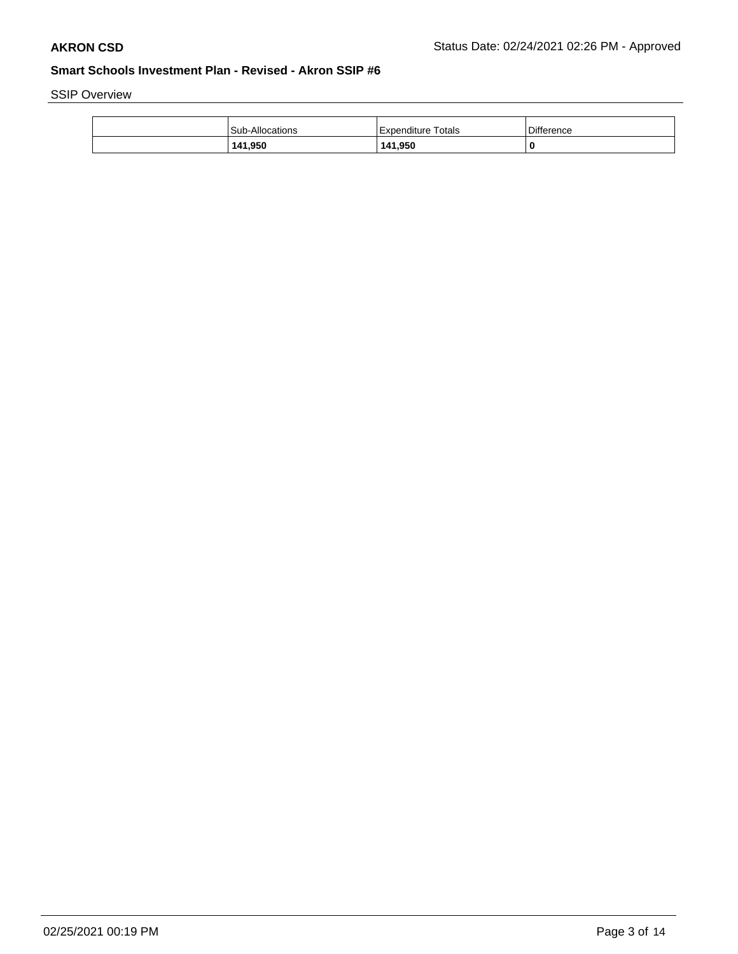SSIP Overview

| 141,950         | 141,950            | 0          |
|-----------------|--------------------|------------|
| Sub-Allocations | Expenditure Totals | Difference |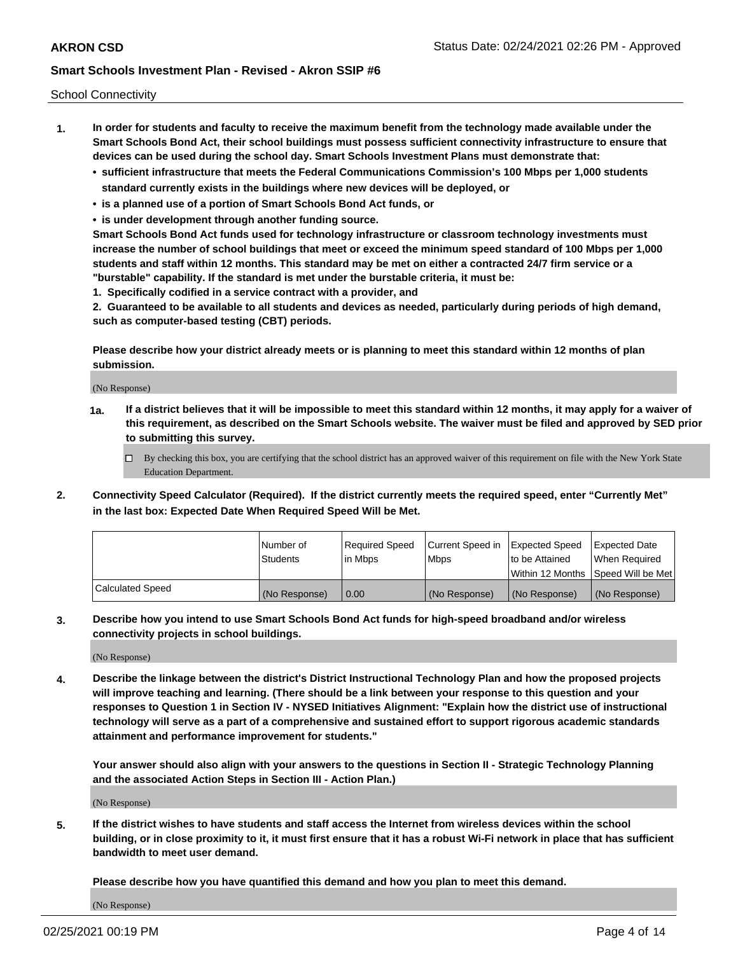School Connectivity

- **1. In order for students and faculty to receive the maximum benefit from the technology made available under the Smart Schools Bond Act, their school buildings must possess sufficient connectivity infrastructure to ensure that devices can be used during the school day. Smart Schools Investment Plans must demonstrate that:**
	- **• sufficient infrastructure that meets the Federal Communications Commission's 100 Mbps per 1,000 students standard currently exists in the buildings where new devices will be deployed, or**
	- **• is a planned use of a portion of Smart Schools Bond Act funds, or**
	- **• is under development through another funding source.**

**Smart Schools Bond Act funds used for technology infrastructure or classroom technology investments must increase the number of school buildings that meet or exceed the minimum speed standard of 100 Mbps per 1,000 students and staff within 12 months. This standard may be met on either a contracted 24/7 firm service or a "burstable" capability. If the standard is met under the burstable criteria, it must be:**

**1. Specifically codified in a service contract with a provider, and**

**2. Guaranteed to be available to all students and devices as needed, particularly during periods of high demand, such as computer-based testing (CBT) periods.**

**Please describe how your district already meets or is planning to meet this standard within 12 months of plan submission.**

(No Response)

**1a. If a district believes that it will be impossible to meet this standard within 12 months, it may apply for a waiver of this requirement, as described on the Smart Schools website. The waiver must be filed and approved by SED prior to submitting this survey.**

 $\Box$  By checking this box, you are certifying that the school district has an approved waiver of this requirement on file with the New York State Education Department.

**2. Connectivity Speed Calculator (Required). If the district currently meets the required speed, enter "Currently Met" in the last box: Expected Date When Required Speed Will be Met.**

|                  | l Number of     | Required Speed | Current Speed in | Expected Speed | Expected Date                        |
|------------------|-----------------|----------------|------------------|----------------|--------------------------------------|
|                  | <b>Students</b> | In Mbps        | <b>Mbps</b>      | to be Attained | When Required                        |
|                  |                 |                |                  |                | Within 12 Months 1Speed Will be Met1 |
| Calculated Speed | (No Response)   | 0.00           | (No Response)    | (No Response)  | l (No Response)                      |

**3. Describe how you intend to use Smart Schools Bond Act funds for high-speed broadband and/or wireless connectivity projects in school buildings.**

(No Response)

**4. Describe the linkage between the district's District Instructional Technology Plan and how the proposed projects will improve teaching and learning. (There should be a link between your response to this question and your responses to Question 1 in Section IV - NYSED Initiatives Alignment: "Explain how the district use of instructional technology will serve as a part of a comprehensive and sustained effort to support rigorous academic standards attainment and performance improvement for students."** 

**Your answer should also align with your answers to the questions in Section II - Strategic Technology Planning and the associated Action Steps in Section III - Action Plan.)**

(No Response)

**5. If the district wishes to have students and staff access the Internet from wireless devices within the school building, or in close proximity to it, it must first ensure that it has a robust Wi-Fi network in place that has sufficient bandwidth to meet user demand.**

**Please describe how you have quantified this demand and how you plan to meet this demand.**

(No Response)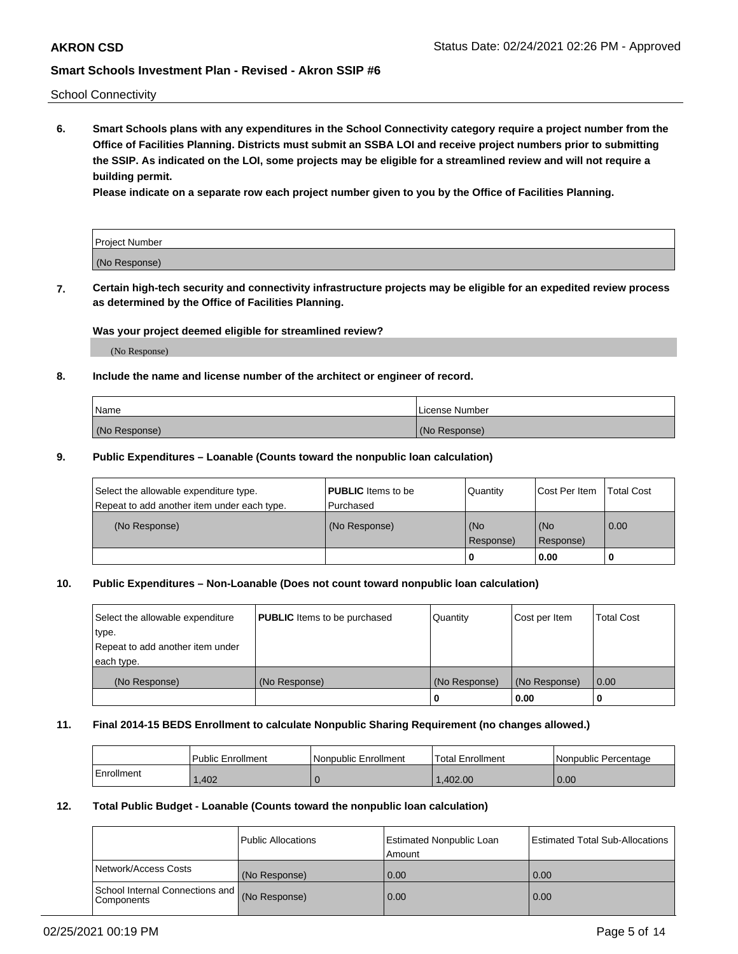School Connectivity

**6. Smart Schools plans with any expenditures in the School Connectivity category require a project number from the Office of Facilities Planning. Districts must submit an SSBA LOI and receive project numbers prior to submitting the SSIP. As indicated on the LOI, some projects may be eligible for a streamlined review and will not require a building permit.**

**Please indicate on a separate row each project number given to you by the Office of Facilities Planning.**

| Project Number |  |
|----------------|--|
| (No Response)  |  |

**7. Certain high-tech security and connectivity infrastructure projects may be eligible for an expedited review process as determined by the Office of Facilities Planning.**

## **Was your project deemed eligible for streamlined review?**

(No Response)

## **8. Include the name and license number of the architect or engineer of record.**

| Name          | License Number |
|---------------|----------------|
| (No Response) | (No Response)  |

### **9. Public Expenditures – Loanable (Counts toward the nonpublic loan calculation)**

| Select the allowable expenditure type.<br>Repeat to add another item under each type. | <b>PUBLIC</b> Items to be<br>l Purchased | Quantity         | l Cost Per Item  | <b>Total Cost</b> |
|---------------------------------------------------------------------------------------|------------------------------------------|------------------|------------------|-------------------|
| (No Response)                                                                         | (No Response)                            | (No<br>Response) | (No<br>Response) | 0.00              |
|                                                                                       |                                          | 0                | 0.00             |                   |

## **10. Public Expenditures – Non-Loanable (Does not count toward nonpublic loan calculation)**

| Select the allowable expenditure<br>type.<br>Repeat to add another item under<br>each type. | <b>PUBLIC</b> Items to be purchased | Quantity      | Cost per Item | <b>Total Cost</b> |
|---------------------------------------------------------------------------------------------|-------------------------------------|---------------|---------------|-------------------|
| (No Response)                                                                               | (No Response)                       | (No Response) | (No Response) | 0.00              |
|                                                                                             |                                     |               | 0.00          |                   |

#### **11. Final 2014-15 BEDS Enrollment to calculate Nonpublic Sharing Requirement (no changes allowed.)**

|            | Public Enrollment | l Nonpublic Enrollment | <b>Total Enrollment</b> | Nonpublic Percentage |
|------------|-------------------|------------------------|-------------------------|----------------------|
| Enrollment | ,402              |                        | 1.402.00                | 0.00                 |

### **12. Total Public Budget - Loanable (Counts toward the nonpublic loan calculation)**

|                                                      | Public Allocations | <b>Estimated Nonpublic Loan</b><br>Amount | Estimated Total Sub-Allocations |
|------------------------------------------------------|--------------------|-------------------------------------------|---------------------------------|
| Network/Access Costs                                 | (No Response)      | 0.00                                      | 0.00                            |
| School Internal Connections and<br><b>Components</b> | (No Response)      | 0.00                                      | 0.00                            |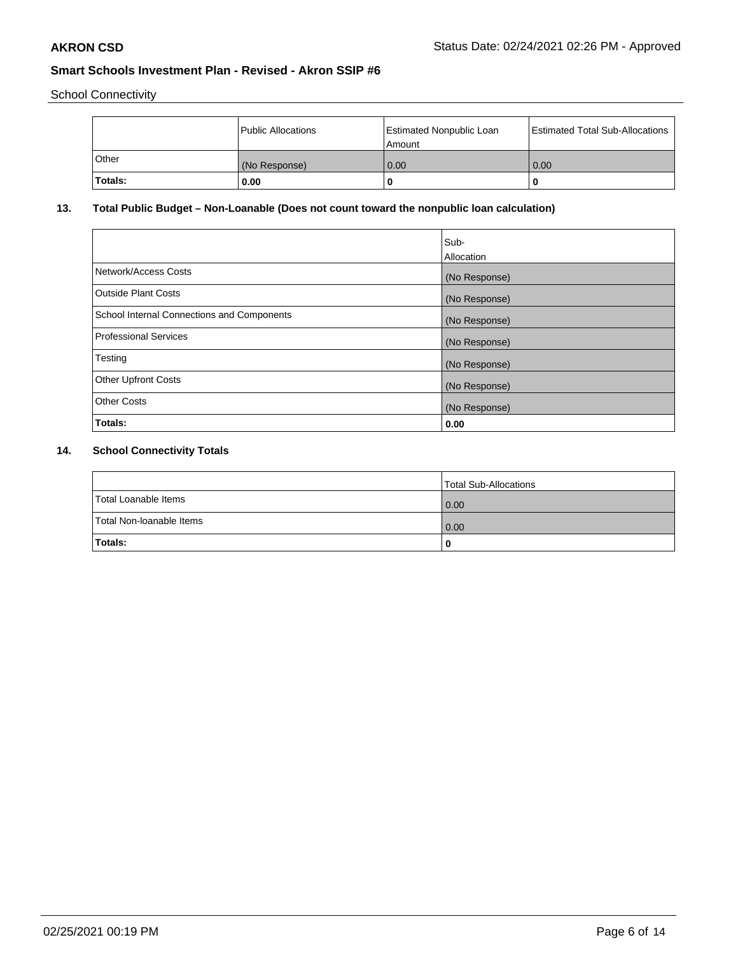School Connectivity

|         | Public Allocations | <b>Estimated Nonpublic Loan</b><br>l Amount | <b>Estimated Total Sub-Allocations</b> |
|---------|--------------------|---------------------------------------------|----------------------------------------|
| l Other | (No Response)      | 0.00                                        | 0.00                                   |
| Totals: | 0.00               | 0                                           |                                        |

# **13. Total Public Budget – Non-Loanable (Does not count toward the nonpublic loan calculation)**

|                                                   | Sub-<br>Allocation |
|---------------------------------------------------|--------------------|
| Network/Access Costs                              | (No Response)      |
| Outside Plant Costs                               | (No Response)      |
| <b>School Internal Connections and Components</b> | (No Response)      |
| Professional Services                             | (No Response)      |
| Testing                                           | (No Response)      |
| <b>Other Upfront Costs</b>                        | (No Response)      |
| <b>Other Costs</b>                                | (No Response)      |
| Totals:                                           | 0.00               |

# **14. School Connectivity Totals**

|                          | Total Sub-Allocations |
|--------------------------|-----------------------|
| Total Loanable Items     | 0.00                  |
| Total Non-Ioanable Items | 0.00                  |
| Totals:                  | 0                     |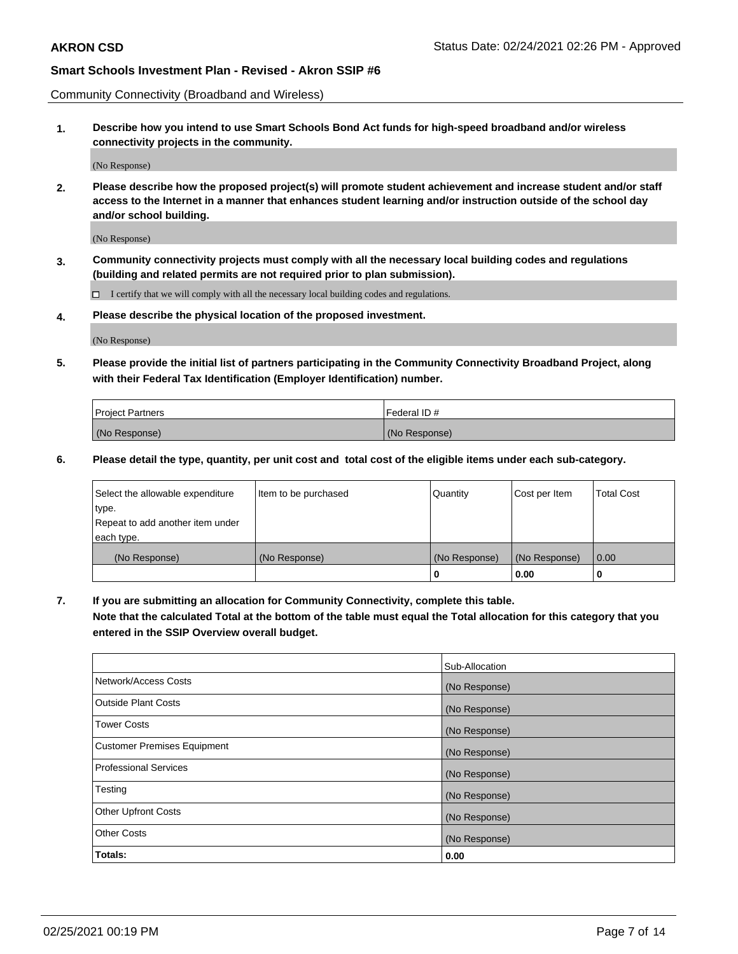Community Connectivity (Broadband and Wireless)

**1. Describe how you intend to use Smart Schools Bond Act funds for high-speed broadband and/or wireless connectivity projects in the community.**

(No Response)

**2. Please describe how the proposed project(s) will promote student achievement and increase student and/or staff access to the Internet in a manner that enhances student learning and/or instruction outside of the school day and/or school building.**

(No Response)

**3. Community connectivity projects must comply with all the necessary local building codes and regulations (building and related permits are not required prior to plan submission).**

 $\Box$  I certify that we will comply with all the necessary local building codes and regulations.

**4. Please describe the physical location of the proposed investment.**

(No Response)

**5. Please provide the initial list of partners participating in the Community Connectivity Broadband Project, along with their Federal Tax Identification (Employer Identification) number.**

| <b>Project Partners</b> | l Federal ID # |
|-------------------------|----------------|
| (No Response)           | (No Response)  |

**6. Please detail the type, quantity, per unit cost and total cost of the eligible items under each sub-category.**

| Select the allowable expenditure | Item to be purchased | Quantity      | Cost per Item | <b>Total Cost</b> |
|----------------------------------|----------------------|---------------|---------------|-------------------|
| type.                            |                      |               |               |                   |
| Repeat to add another item under |                      |               |               |                   |
| each type.                       |                      |               |               |                   |
| (No Response)                    | (No Response)        | (No Response) | (No Response) | 0.00              |
|                                  |                      | o             | 0.00          |                   |

**7. If you are submitting an allocation for Community Connectivity, complete this table.**

**Note that the calculated Total at the bottom of the table must equal the Total allocation for this category that you entered in the SSIP Overview overall budget.**

|                                    | Sub-Allocation |
|------------------------------------|----------------|
| Network/Access Costs               | (No Response)  |
| Outside Plant Costs                | (No Response)  |
| <b>Tower Costs</b>                 | (No Response)  |
| <b>Customer Premises Equipment</b> | (No Response)  |
| <b>Professional Services</b>       | (No Response)  |
| Testing                            | (No Response)  |
| <b>Other Upfront Costs</b>         | (No Response)  |
| <b>Other Costs</b>                 | (No Response)  |
| Totals:                            | 0.00           |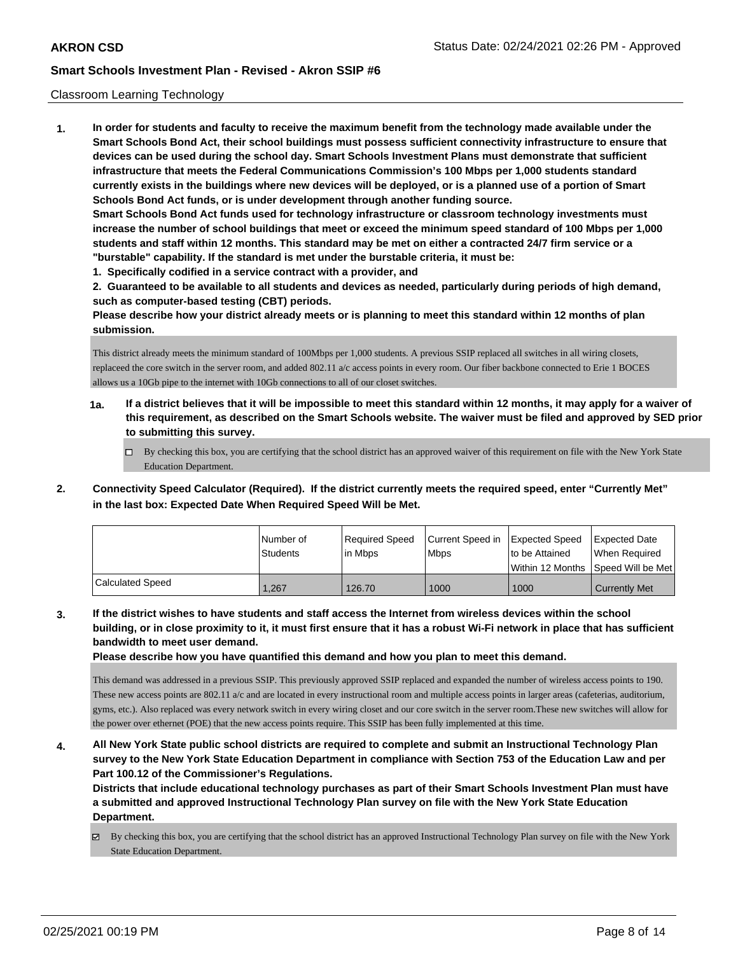### Classroom Learning Technology

**1. In order for students and faculty to receive the maximum benefit from the technology made available under the Smart Schools Bond Act, their school buildings must possess sufficient connectivity infrastructure to ensure that devices can be used during the school day. Smart Schools Investment Plans must demonstrate that sufficient infrastructure that meets the Federal Communications Commission's 100 Mbps per 1,000 students standard currently exists in the buildings where new devices will be deployed, or is a planned use of a portion of Smart Schools Bond Act funds, or is under development through another funding source. Smart Schools Bond Act funds used for technology infrastructure or classroom technology investments must increase the number of school buildings that meet or exceed the minimum speed standard of 100 Mbps per 1,000 students and staff within 12 months. This standard may be met on either a contracted 24/7 firm service or a "burstable" capability. If the standard is met under the burstable criteria, it must be: 1. Specifically codified in a service contract with a provider, and**

**2. Guaranteed to be available to all students and devices as needed, particularly during periods of high demand, such as computer-based testing (CBT) periods.**

**Please describe how your district already meets or is planning to meet this standard within 12 months of plan submission.**

This district already meets the minimum standard of 100Mbps per 1,000 students. A previous SSIP replaced all switches in all wiring closets, replaceed the core switch in the server room, and added 802.11 a/c access points in every room. Our fiber backbone connected to Erie 1 BOCES allows us a 10Gb pipe to the internet with 10Gb connections to all of our closet switches.

- **1a. If a district believes that it will be impossible to meet this standard within 12 months, it may apply for a waiver of this requirement, as described on the Smart Schools website. The waiver must be filed and approved by SED prior to submitting this survey.**
	- By checking this box, you are certifying that the school district has an approved waiver of this requirement on file with the New York State Education Department.
- **2. Connectivity Speed Calculator (Required). If the district currently meets the required speed, enter "Currently Met" in the last box: Expected Date When Required Speed Will be Met.**

|                  | l Number of<br>Students | Required Speed<br>lin Mbps | Current Speed in<br><b>Mbps</b> | Expected Speed<br>to be Attained | Expected Date<br>When Required          |
|------------------|-------------------------|----------------------------|---------------------------------|----------------------------------|-----------------------------------------|
|                  |                         |                            |                                 |                                  | l Within 12 Months ISpeed Will be Met l |
| Calculated Speed | .,267                   | 126.70                     | 1000                            | 1000                             | <b>Currently Met</b>                    |

**3. If the district wishes to have students and staff access the Internet from wireless devices within the school building, or in close proximity to it, it must first ensure that it has a robust Wi-Fi network in place that has sufficient bandwidth to meet user demand.**

**Please describe how you have quantified this demand and how you plan to meet this demand.**

This demand was addressed in a previous SSIP. This previously approved SSIP replaced and expanded the number of wireless access points to 190. These new access points are 802.11 a/c and are located in every instructional room and multiple access points in larger areas (cafeterias, auditorium, gyms, etc.). Also replaced was every network switch in every wiring closet and our core switch in the server room.These new switches will allow for the power over ethernet (POE) that the new access points require. This SSIP has been fully implemented at this time.

**4. All New York State public school districts are required to complete and submit an Instructional Technology Plan survey to the New York State Education Department in compliance with Section 753 of the Education Law and per Part 100.12 of the Commissioner's Regulations.**

**Districts that include educational technology purchases as part of their Smart Schools Investment Plan must have a submitted and approved Instructional Technology Plan survey on file with the New York State Education Department.**

 $\boxtimes$  By checking this box, you are certifying that the school district has an approved Instructional Technology Plan survey on file with the New York State Education Department.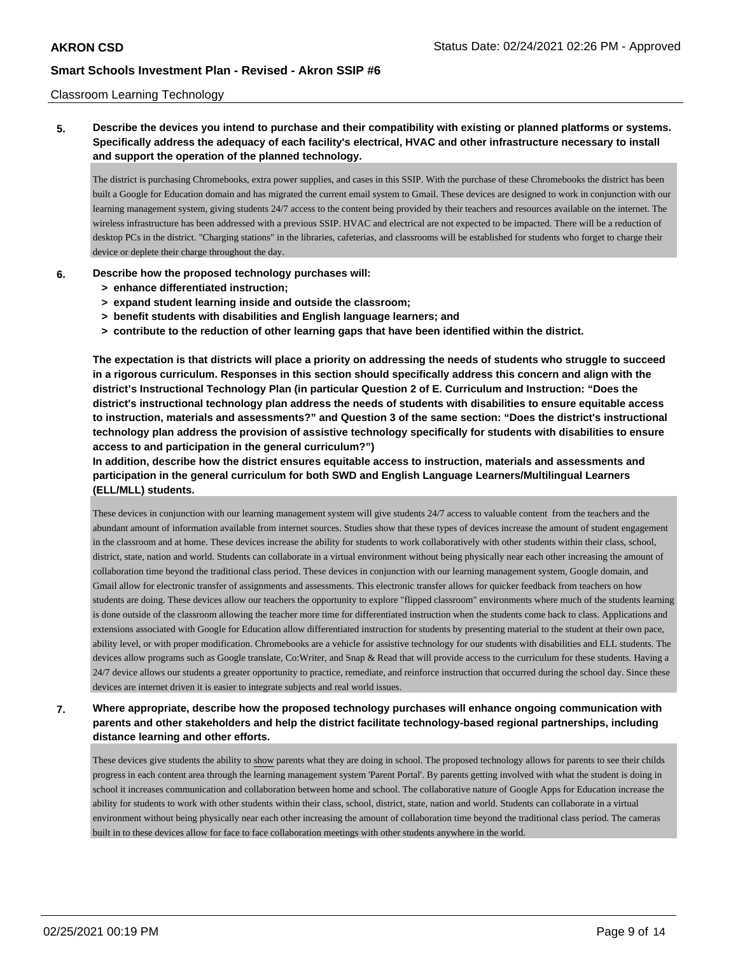### Classroom Learning Technology

**5. Describe the devices you intend to purchase and their compatibility with existing or planned platforms or systems. Specifically address the adequacy of each facility's electrical, HVAC and other infrastructure necessary to install and support the operation of the planned technology.**

The district is purchasing Chromebooks, extra power supplies, and cases in this SSIP. With the purchase of these Chromebooks the district has been built a Google for Education domain and has migrated the current email system to Gmail. These devices are designed to work in conjunction with our learning management system, giving students 24/7 access to the content being provided by their teachers and resources available on the internet. The wireless infrastructure has been addressed with a previous SSIP. HVAC and electrical are not expected to be impacted. There will be a reduction of desktop PCs in the district. "Charging stations" in the libraries, cafeterias, and classrooms will be established for students who forget to charge their device or deplete their charge throughout the day.

### **6. Describe how the proposed technology purchases will:**

- **> enhance differentiated instruction;**
- **> expand student learning inside and outside the classroom;**
- **> benefit students with disabilities and English language learners; and**
- **> contribute to the reduction of other learning gaps that have been identified within the district.**

**The expectation is that districts will place a priority on addressing the needs of students who struggle to succeed in a rigorous curriculum. Responses in this section should specifically address this concern and align with the district's Instructional Technology Plan (in particular Question 2 of E. Curriculum and Instruction: "Does the district's instructional technology plan address the needs of students with disabilities to ensure equitable access to instruction, materials and assessments?" and Question 3 of the same section: "Does the district's instructional technology plan address the provision of assistive technology specifically for students with disabilities to ensure access to and participation in the general curriculum?")**

**In addition, describe how the district ensures equitable access to instruction, materials and assessments and participation in the general curriculum for both SWD and English Language Learners/Multilingual Learners (ELL/MLL) students.**

These devices in conjunction with our learning management system will give students 24/7 access to valuable content from the teachers and the abundant amount of information available from internet sources. Studies show that these types of devices increase the amount of student engagement in the classroom and at home. These devices increase the ability for students to work collaboratively with other students within their class, school, district, state, nation and world. Students can collaborate in a virtual environment without being physically near each other increasing the amount of collaboration time beyond the traditional class period. These devices in conjunction with our learning management system, Google domain, and Gmail allow for electronic transfer of assignments and assessments. This electronic transfer allows for quicker feedback from teachers on how students are doing. These devices allow our teachers the opportunity to explore "flipped classroom" environments where much of the students learning is done outside of the classroom allowing the teacher more time for differentiated instruction when the students come back to class. Applications and extensions associated with Google for Education allow differentiated instruction for students by presenting material to the student at their own pace, ability level, or with proper modification. Chromebooks are a vehicle for assistive technology for our students with disabilities and ELL students. The devices allow programs such as Google translate, Co:Writer, and Snap & Read that will provide access to the curriculum for these students. Having a 24/7 device allows our students a greater opportunity to practice, remediate, and reinforce instruction that occurred during the school day. Since these devices are internet driven it is easier to integrate subjects and real world issues.

# **7. Where appropriate, describe how the proposed technology purchases will enhance ongoing communication with parents and other stakeholders and help the district facilitate technology-based regional partnerships, including distance learning and other efforts.**

These devices give students the ability to show parents what they are doing in school. The proposed technology allows for parents to see their childs progress in each content area through the learning management system 'Parent Portal'. By parents getting involved with what the student is doing in school it increases communication and collaboration between home and school. The collaborative nature of Google Apps for Education increase the ability for students to work with other students within their class, school, district, state, nation and world. Students can collaborate in a virtual environment without being physically near each other increasing the amount of collaboration time beyond the traditional class period. The cameras built in to these devices allow for face to face collaboration meetings with other students anywhere in the world.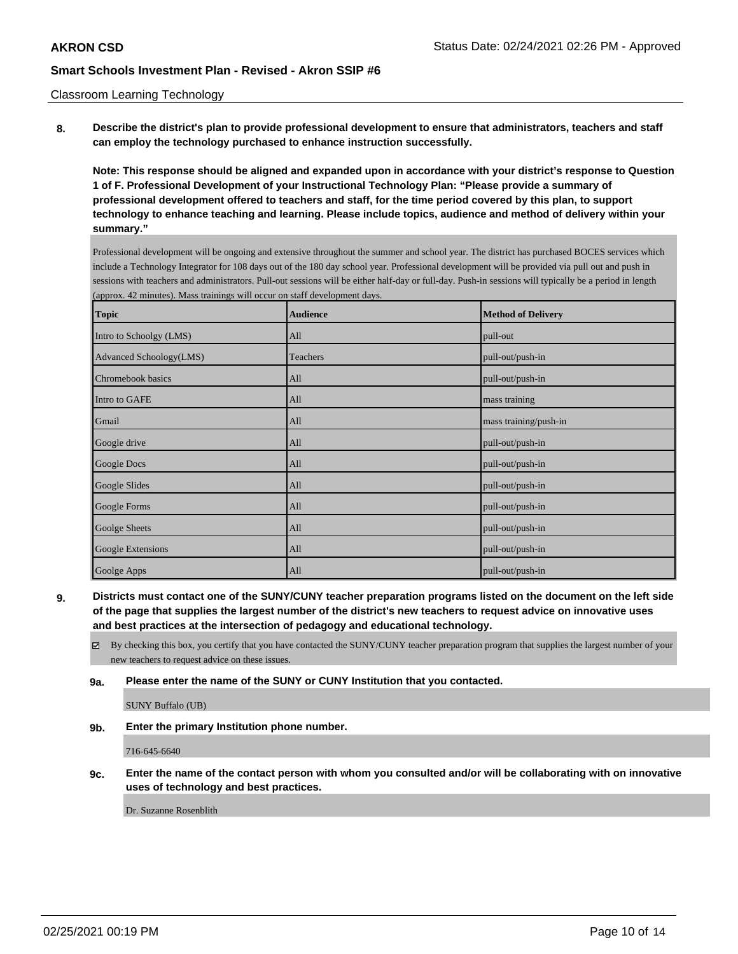### Classroom Learning Technology

**8. Describe the district's plan to provide professional development to ensure that administrators, teachers and staff can employ the technology purchased to enhance instruction successfully.**

**Note: This response should be aligned and expanded upon in accordance with your district's response to Question 1 of F. Professional Development of your Instructional Technology Plan: "Please provide a summary of professional development offered to teachers and staff, for the time period covered by this plan, to support technology to enhance teaching and learning. Please include topics, audience and method of delivery within your summary."**

Professional development will be ongoing and extensive throughout the summer and school year. The district has purchased BOCES services which include a Technology Integrator for 108 days out of the 180 day school year. Professional development will be provided via pull out and push in sessions with teachers and administrators. Pull-out sessions will be either half-day or full-day. Push-in sessions will typically be a period in length (approx. 42 minutes). Mass trainings will occur on staff development days.

| <b>Topic</b>            | <b>Audience</b> | <b>Method of Delivery</b> |
|-------------------------|-----------------|---------------------------|
| Intro to Schoolgy (LMS) | All             | pull-out                  |
| Advanced Schoology(LMS) | Teachers        | pull-out/push-in          |
| Chromebook basics       | All             | pull-out/push-in          |
| Intro to GAFE           | All             | mass training             |
| Gmail                   | All             | mass training/push-in     |
| Google drive            | All             | pull-out/push-in          |
| Google Docs             | All             | pull-out/push-in          |
| Google Slides           | All             | pull-out/push-in          |
| Google Forms            | All             | pull-out/push-in          |
| Goolge Sheets           | All             | pull-out/push-in          |
| Google Extensions       | All             | pull-out/push-in          |
| Goolge Apps             | All             | pull-out/push-in          |

**9. Districts must contact one of the SUNY/CUNY teacher preparation programs listed on the document on the left side of the page that supplies the largest number of the district's new teachers to request advice on innovative uses and best practices at the intersection of pedagogy and educational technology.**

By checking this box, you certify that you have contacted the SUNY/CUNY teacher preparation program that supplies the largest number of your new teachers to request advice on these issues.

### **9a. Please enter the name of the SUNY or CUNY Institution that you contacted.**

SUNY Buffalo (UB)

**9b. Enter the primary Institution phone number.**

716-645-6640

**9c. Enter the name of the contact person with whom you consulted and/or will be collaborating with on innovative uses of technology and best practices.**

Dr. Suzanne Rosenblith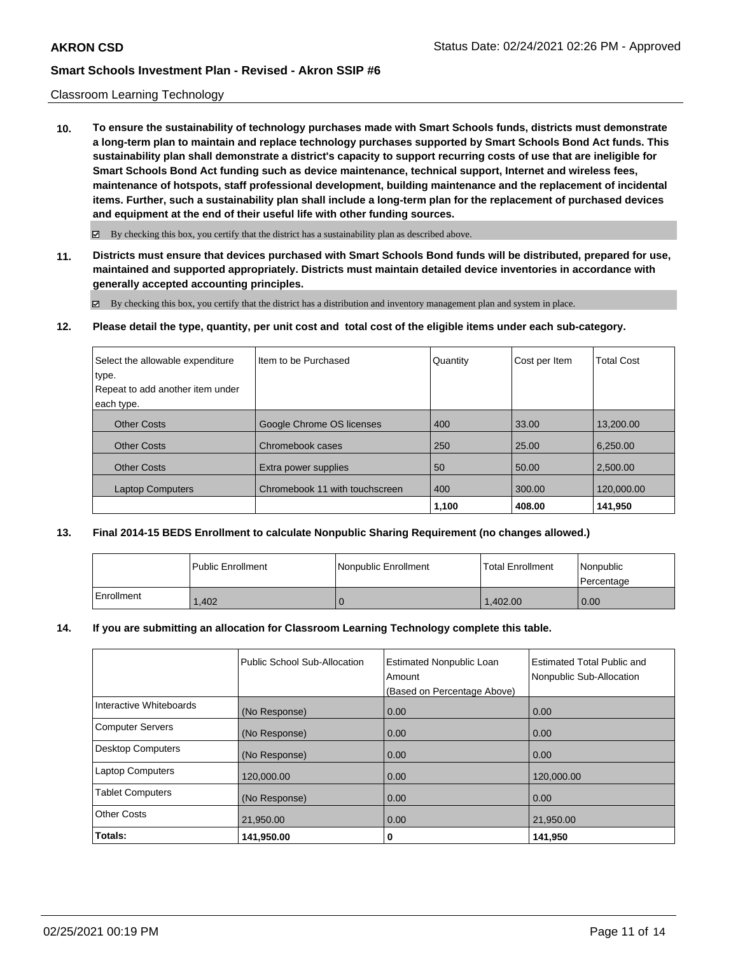### Classroom Learning Technology

**10. To ensure the sustainability of technology purchases made with Smart Schools funds, districts must demonstrate a long-term plan to maintain and replace technology purchases supported by Smart Schools Bond Act funds. This sustainability plan shall demonstrate a district's capacity to support recurring costs of use that are ineligible for Smart Schools Bond Act funding such as device maintenance, technical support, Internet and wireless fees, maintenance of hotspots, staff professional development, building maintenance and the replacement of incidental items. Further, such a sustainability plan shall include a long-term plan for the replacement of purchased devices and equipment at the end of their useful life with other funding sources.**

 $\boxtimes$  By checking this box, you certify that the district has a sustainability plan as described above.

**11. Districts must ensure that devices purchased with Smart Schools Bond funds will be distributed, prepared for use, maintained and supported appropriately. Districts must maintain detailed device inventories in accordance with generally accepted accounting principles.**

By checking this box, you certify that the district has a distribution and inventory management plan and system in place.

**12. Please detail the type, quantity, per unit cost and total cost of the eligible items under each sub-category.**

| Select the allowable expenditure<br>type. | Iltem to be Purchased          | Quantity | Cost per Item | <b>Total Cost</b> |
|-------------------------------------------|--------------------------------|----------|---------------|-------------------|
| Repeat to add another item under          |                                |          |               |                   |
| each type.                                |                                |          |               |                   |
| <b>Other Costs</b>                        | Google Chrome OS licenses      | 400      | 33.00         | 13,200.00         |
| <b>Other Costs</b>                        | Chromebook cases               | 250      | 25.00         | 6,250.00          |
| <b>Other Costs</b>                        | Extra power supplies           | 50       | 50.00         | 2.500.00          |
| <b>Laptop Computers</b>                   | Chromebook 11 with touchscreen | 400      | 300.00        | 120,000.00        |
|                                           |                                | 1,100    | 408.00        | 141.950           |

## **13. Final 2014-15 BEDS Enrollment to calculate Nonpublic Sharing Requirement (no changes allowed.)**

|            | l Public Enrollment | Nonpublic Enrollment | <b>Total Enrollment</b> | Nonpublic<br>l Percentage |
|------------|---------------------|----------------------|-------------------------|---------------------------|
| Enrollment | .402                |                      | 1.402.00                | 0.00                      |

### **14. If you are submitting an allocation for Classroom Learning Technology complete this table.**

|                          | Public School Sub-Allocation | <b>Estimated Nonpublic Loan</b><br>Amount | Estimated Total Public and<br>Nonpublic Sub-Allocation |
|--------------------------|------------------------------|-------------------------------------------|--------------------------------------------------------|
|                          |                              | (Based on Percentage Above)               |                                                        |
| Interactive Whiteboards  | (No Response)                | 0.00                                      | 0.00                                                   |
| <b>Computer Servers</b>  | (No Response)                | 0.00                                      | 0.00                                                   |
| <b>Desktop Computers</b> | (No Response)                | 0.00                                      | 0.00                                                   |
| <b>Laptop Computers</b>  | 120,000.00                   | 0.00                                      | 120,000.00                                             |
| <b>Tablet Computers</b>  | (No Response)                | 0.00                                      | 0.00                                                   |
| <b>Other Costs</b>       | 21,950.00                    | 0.00                                      | 21,950.00                                              |
| Totals:                  | 141,950.00                   | 0                                         | 141,950                                                |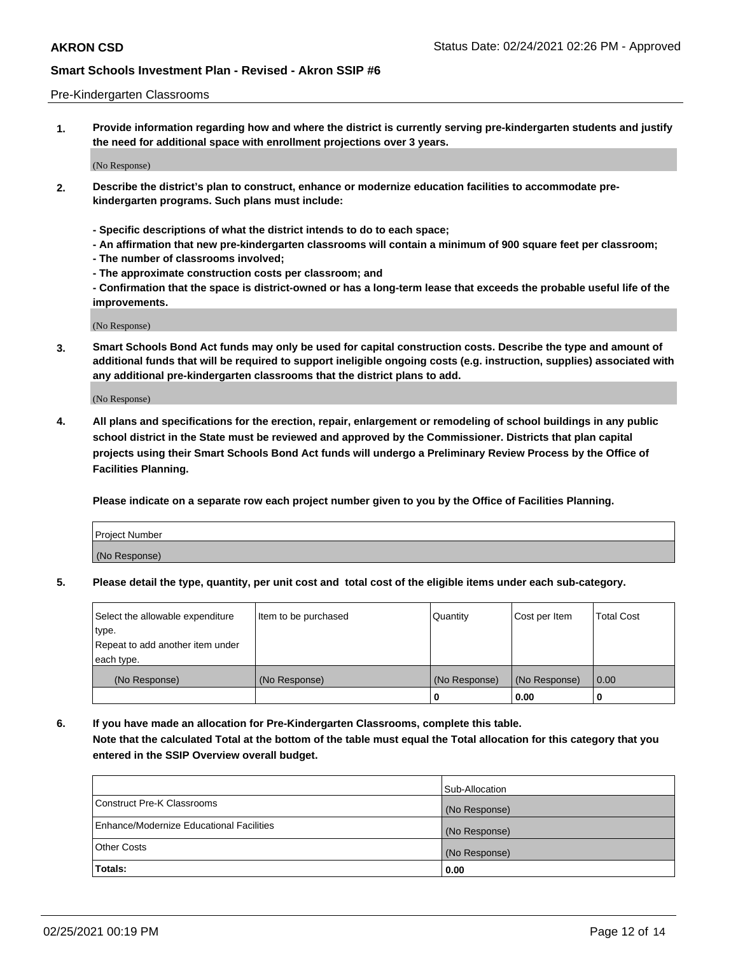### Pre-Kindergarten Classrooms

**1. Provide information regarding how and where the district is currently serving pre-kindergarten students and justify the need for additional space with enrollment projections over 3 years.**

(No Response)

- **2. Describe the district's plan to construct, enhance or modernize education facilities to accommodate prekindergarten programs. Such plans must include:**
	- **Specific descriptions of what the district intends to do to each space;**
	- **An affirmation that new pre-kindergarten classrooms will contain a minimum of 900 square feet per classroom;**
	- **The number of classrooms involved;**
	- **The approximate construction costs per classroom; and**
	- **Confirmation that the space is district-owned or has a long-term lease that exceeds the probable useful life of the improvements.**

(No Response)

**3. Smart Schools Bond Act funds may only be used for capital construction costs. Describe the type and amount of additional funds that will be required to support ineligible ongoing costs (e.g. instruction, supplies) associated with any additional pre-kindergarten classrooms that the district plans to add.**

(No Response)

**4. All plans and specifications for the erection, repair, enlargement or remodeling of school buildings in any public school district in the State must be reviewed and approved by the Commissioner. Districts that plan capital projects using their Smart Schools Bond Act funds will undergo a Preliminary Review Process by the Office of Facilities Planning.**

**Please indicate on a separate row each project number given to you by the Office of Facilities Planning.**

| Project Number |  |
|----------------|--|
| (No Response)  |  |
|                |  |

**5. Please detail the type, quantity, per unit cost and total cost of the eligible items under each sub-category.**

| Select the allowable expenditure | Item to be purchased | Quantity      | Cost per Item | <b>Total Cost</b> |
|----------------------------------|----------------------|---------------|---------------|-------------------|
| type.                            |                      |               |               |                   |
| Repeat to add another item under |                      |               |               |                   |
| each type.                       |                      |               |               |                   |
| (No Response)                    | (No Response)        | (No Response) | (No Response) | 0.00              |
|                                  |                      | U             | 0.00          |                   |

**6. If you have made an allocation for Pre-Kindergarten Classrooms, complete this table. Note that the calculated Total at the bottom of the table must equal the Total allocation for this category that you entered in the SSIP Overview overall budget.**

|                                          | Sub-Allocation |
|------------------------------------------|----------------|
| Construct Pre-K Classrooms               | (No Response)  |
| Enhance/Modernize Educational Facilities | (No Response)  |
| <b>Other Costs</b>                       | (No Response)  |
| Totals:                                  | 0.00           |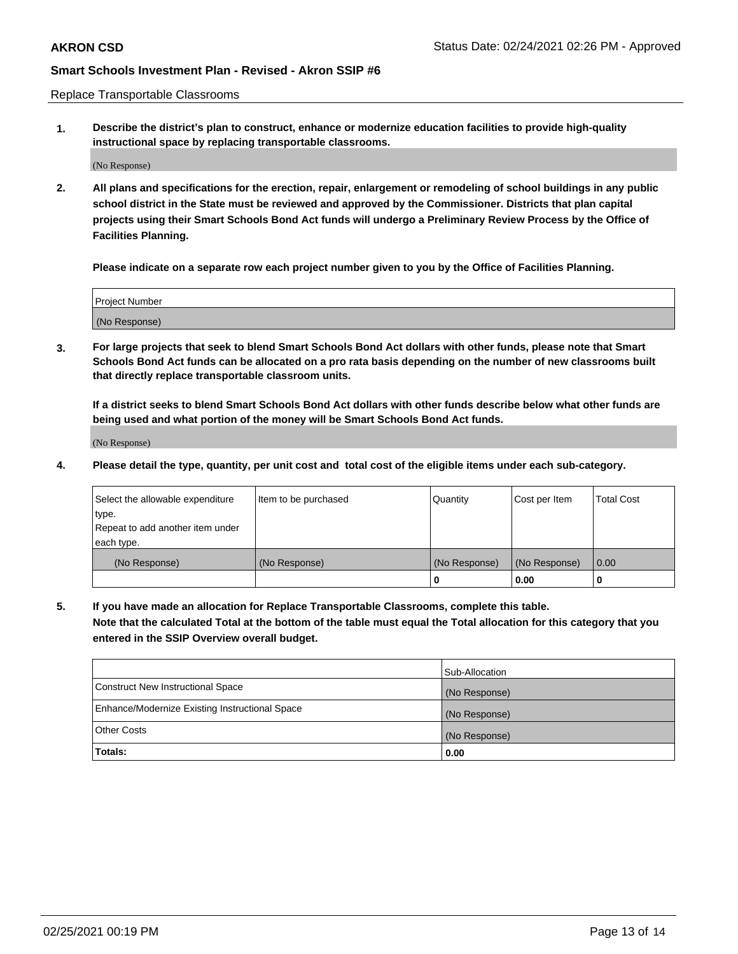Replace Transportable Classrooms

**1. Describe the district's plan to construct, enhance or modernize education facilities to provide high-quality instructional space by replacing transportable classrooms.**

(No Response)

**2. All plans and specifications for the erection, repair, enlargement or remodeling of school buildings in any public school district in the State must be reviewed and approved by the Commissioner. Districts that plan capital projects using their Smart Schools Bond Act funds will undergo a Preliminary Review Process by the Office of Facilities Planning.**

**Please indicate on a separate row each project number given to you by the Office of Facilities Planning.**

| Project Number |  |
|----------------|--|
|                |  |
|                |  |
|                |  |
| (No Response)  |  |
|                |  |
|                |  |

**3. For large projects that seek to blend Smart Schools Bond Act dollars with other funds, please note that Smart Schools Bond Act funds can be allocated on a pro rata basis depending on the number of new classrooms built that directly replace transportable classroom units.**

**If a district seeks to blend Smart Schools Bond Act dollars with other funds describe below what other funds are being used and what portion of the money will be Smart Schools Bond Act funds.**

(No Response)

**4. Please detail the type, quantity, per unit cost and total cost of the eligible items under each sub-category.**

| Select the allowable expenditure | Item to be purchased | Quantity      | Cost per Item | Total Cost |
|----------------------------------|----------------------|---------------|---------------|------------|
| ∣type.                           |                      |               |               |            |
| Repeat to add another item under |                      |               |               |            |
| each type.                       |                      |               |               |            |
| (No Response)                    | (No Response)        | (No Response) | (No Response) | 0.00       |
|                                  |                      | u             | 0.00          |            |

**5. If you have made an allocation for Replace Transportable Classrooms, complete this table. Note that the calculated Total at the bottom of the table must equal the Total allocation for this category that you entered in the SSIP Overview overall budget.**

|                                                | Sub-Allocation |
|------------------------------------------------|----------------|
| Construct New Instructional Space              | (No Response)  |
| Enhance/Modernize Existing Instructional Space | (No Response)  |
| Other Costs                                    | (No Response)  |
| Totals:                                        | 0.00           |